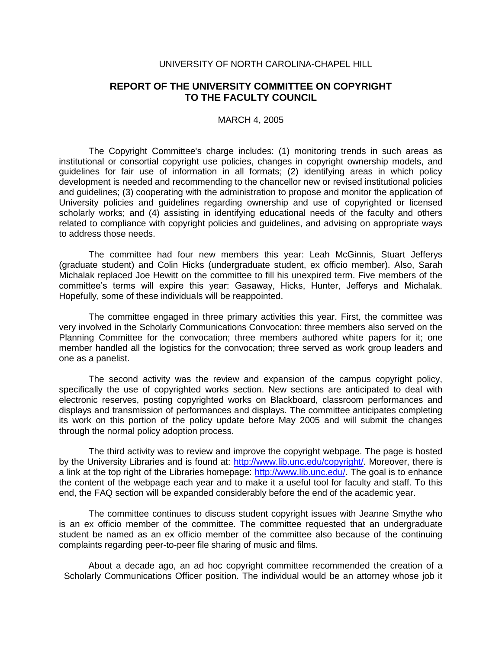## UNIVERSITY OF NORTH CAROLINA-CHAPEL HILL

## **REPORT OF THE UNIVERSITY COMMITTEE ON COPYRIGHT TO THE FACULTY COUNCIL**

## MARCH 4, 2005

The Copyright Committee's charge includes: (1) monitoring trends in such areas as institutional or consortial copyright use policies, changes in copyright ownership models, and guidelines for fair use of information in all formats; (2) identifying areas in which policy development is needed and recommending to the chancellor new or revised institutional policies and guidelines; (3) cooperating with the administration to propose and monitor the application of University policies and guidelines regarding ownership and use of copyrighted or licensed scholarly works; and (4) assisting in identifying educational needs of the faculty and others related to compliance with copyright policies and guidelines, and advising on appropriate ways to address those needs.

The committee had four new members this year: Leah McGinnis, Stuart Jefferys (graduate student) and Colin Hicks (undergraduate student, ex officio member). Also, Sarah Michalak replaced Joe Hewitt on the committee to fill his unexpired term. Five members of the committee's terms will expire this year: Gasaway, Hicks, Hunter, Jefferys and Michalak. Hopefully, some of these individuals will be reappointed.

The committee engaged in three primary activities this year. First, the committee was very involved in the Scholarly Communications Convocation: three members also served on the Planning Committee for the convocation; three members authored white papers for it; one member handled all the logistics for the convocation; three served as work group leaders and one as a panelist.

The second activity was the review and expansion of the campus copyright policy, specifically the use of copyrighted works section. New sections are anticipated to deal with electronic reserves, posting copyrighted works on Blackboard, classroom performances and displays and transmission of performances and displays. The committee anticipates completing its work on this portion of the policy update before May 2005 and will submit the changes through the normal policy adoption process.

The third activity was to review and improve the copyright webpage. The page is hosted by the University Libraries and is found at: [http://www.lib.unc.edu/copyright/.](http://www.lib.unc.edu/copyright/) Moreover, there is a link at the top right of the Libraries homepage: [http://www.lib.unc.edu/.](http://www.lib.unc.edu/) The goal is to enhance the content of the webpage each year and to make it a useful tool for faculty and staff. To this end, the FAQ section will be expanded considerably before the end of the academic year.

The committee continues to discuss student copyright issues with Jeanne Smythe who is an ex officio member of the committee. The committee requested that an undergraduate student be named as an ex officio member of the committee also because of the continuing complaints regarding peer-to-peer file sharing of music and films.

About a decade ago, an ad hoc copyright committee recommended the creation of a Scholarly Communications Officer position. The individual would be an attorney whose job it